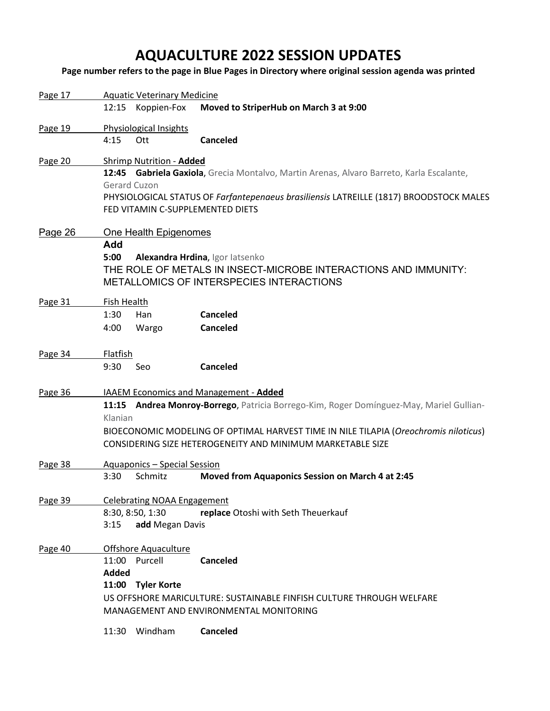# **AQUACULTURE 2022 SESSION UPDATES**

**Page number refers to the page in Blue Pages in Directory where original session agenda was printed**

| Page 17 |                                                                                         | <b>Aquatic Veterinary Medicine</b> |                                                                                          |  |  |  |
|---------|-----------------------------------------------------------------------------------------|------------------------------------|------------------------------------------------------------------------------------------|--|--|--|
|         |                                                                                         | 12:15 Koppien-Fox                  | Moved to StriperHub on March 3 at 9:00                                                   |  |  |  |
| Page 19 |                                                                                         | Physiological Insights             |                                                                                          |  |  |  |
|         | 4:15                                                                                    | Ott                                | <b>Canceled</b>                                                                          |  |  |  |
| Page 20 |                                                                                         | Shrimp Nutrition - Added           |                                                                                          |  |  |  |
|         |                                                                                         |                                    | 12:45 Gabriela Gaxiola, Grecia Montalvo, Martin Arenas, Alvaro Barreto, Karla Escalante, |  |  |  |
|         | Gerard Cuzon                                                                            |                                    |                                                                                          |  |  |  |
|         |                                                                                         |                                    | PHYSIOLOGICAL STATUS OF Farfantepenaeus brasiliensis LATREILLE (1817) BROODSTOCK MALES   |  |  |  |
|         |                                                                                         | FED VITAMIN C-SUPPLEMENTED DIETS   |                                                                                          |  |  |  |
| Page 26 |                                                                                         | One Health Epigenomes              |                                                                                          |  |  |  |
|         | Add                                                                                     |                                    |                                                                                          |  |  |  |
|         | 5:00                                                                                    |                                    | Alexandra Hrdina, Igor latsenko                                                          |  |  |  |
|         |                                                                                         |                                    | THE ROLE OF METALS IN INSECT-MICROBE INTERACTIONS AND IMMUNITY:                          |  |  |  |
|         |                                                                                         |                                    | METALLOMICS OF INTERSPECIES INTERACTIONS                                                 |  |  |  |
| Page 31 | Fish Health                                                                             |                                    |                                                                                          |  |  |  |
|         | 1:30                                                                                    | Han                                | Canceled                                                                                 |  |  |  |
|         | 4:00                                                                                    | Wargo                              | Canceled                                                                                 |  |  |  |
| Page 34 | Flatfish                                                                                |                                    |                                                                                          |  |  |  |
|         | 9:30                                                                                    | Seo                                | Canceled                                                                                 |  |  |  |
|         |                                                                                         |                                    |                                                                                          |  |  |  |
| Page 36 |                                                                                         |                                    | IAAEM Economics and Management - Added                                                   |  |  |  |
|         | 11:15 Andrea Monroy-Borrego, Patricia Borrego-Kim, Roger Domínguez-May, Mariel Gullian- |                                    |                                                                                          |  |  |  |
|         | Klanian                                                                                 |                                    |                                                                                          |  |  |  |
|         |                                                                                         |                                    | BIOECONOMIC MODELING OF OPTIMAL HARVEST TIME IN NILE TILAPIA (Oreochromis niloticus)     |  |  |  |
|         |                                                                                         |                                    | CONSIDERING SIZE HETEROGENEITY AND MINIMUM MARKETABLE SIZE                               |  |  |  |
| Page 38 |                                                                                         | Aquaponics - Special Session       |                                                                                          |  |  |  |
|         | 3:30                                                                                    | Schmitz                            | Moved from Aquaponics Session on March 4 at 2:45                                         |  |  |  |
| Page 39 |                                                                                         | <b>Celebrating NOAA Engagement</b> |                                                                                          |  |  |  |
|         |                                                                                         | 8:30, 8:50, 1:30                   | replace Otoshi with Seth Theuerkauf                                                      |  |  |  |
|         | 3:15                                                                                    | add Megan Davis                    |                                                                                          |  |  |  |
| Page 40 |                                                                                         | <b>Offshore Aquaculture</b>        |                                                                                          |  |  |  |
|         |                                                                                         | 11:00 Purcell                      | <b>Canceled</b>                                                                          |  |  |  |
|         | Added                                                                                   |                                    |                                                                                          |  |  |  |
|         |                                                                                         | 11:00 Tyler Korte                  |                                                                                          |  |  |  |
|         | US OFFSHORE MARICULTURE: SUSTAINABLE FINFISH CULTURE THROUGH WELFARE                    |                                    |                                                                                          |  |  |  |
|         | MANAGEMENT AND ENVIRONMENTAL MONITORING                                                 |                                    |                                                                                          |  |  |  |
|         | 11:30                                                                                   | Windham                            | <b>Canceled</b>                                                                          |  |  |  |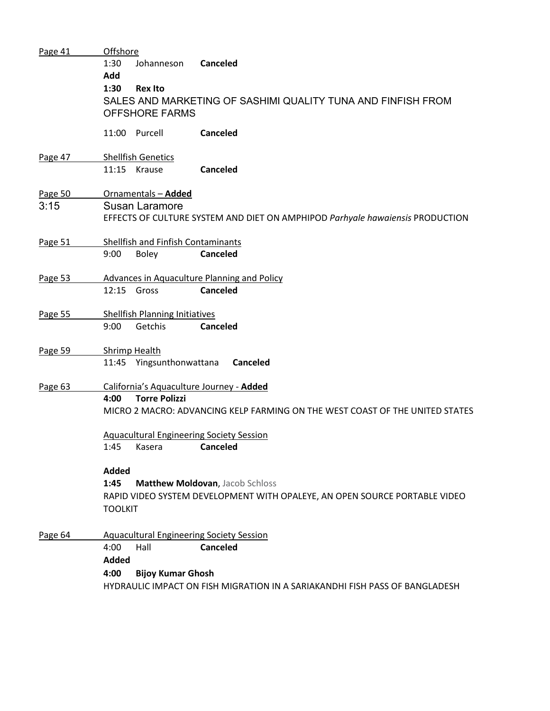| Page 41 | Offshore                                                                     |                                                                               |  |  |  |  |  |
|---------|------------------------------------------------------------------------------|-------------------------------------------------------------------------------|--|--|--|--|--|
|         | 1:30<br>Johanneson                                                           | Canceled                                                                      |  |  |  |  |  |
|         | Add                                                                          |                                                                               |  |  |  |  |  |
|         | 1:30<br><b>Rex Ito</b>                                                       |                                                                               |  |  |  |  |  |
|         | SALES AND MARKETING OF SASHIMI QUALITY TUNA AND FINFISH FROM                 |                                                                               |  |  |  |  |  |
|         | <b>OFFSHORE FARMS</b>                                                        |                                                                               |  |  |  |  |  |
|         |                                                                              |                                                                               |  |  |  |  |  |
|         | 11:00 Purcell                                                                | <b>Canceled</b>                                                               |  |  |  |  |  |
|         |                                                                              |                                                                               |  |  |  |  |  |
| Page 47 | <b>Shellfish Genetics</b>                                                    |                                                                               |  |  |  |  |  |
|         | 11:15 Krause                                                                 | <b>Canceled</b>                                                               |  |  |  |  |  |
| Page 50 | Ornamentals - Added                                                          |                                                                               |  |  |  |  |  |
| 3:15    | <b>Susan Laramore</b>                                                        |                                                                               |  |  |  |  |  |
|         |                                                                              | EFFECTS OF CULTURE SYSTEM AND DIET ON AMPHIPOD Parhyale hawaiensis PRODUCTION |  |  |  |  |  |
|         |                                                                              |                                                                               |  |  |  |  |  |
| Page 51 | Shellfish and Finfish Contaminants                                           |                                                                               |  |  |  |  |  |
|         | 9:00<br><b>Boley</b>                                                         | <b>Canceled</b>                                                               |  |  |  |  |  |
|         |                                                                              |                                                                               |  |  |  |  |  |
| Page 53 | Advances in Aquaculture Planning and Policy                                  |                                                                               |  |  |  |  |  |
|         | 12:15 Gross                                                                  | Canceled                                                                      |  |  |  |  |  |
|         |                                                                              |                                                                               |  |  |  |  |  |
| Page 55 | <b>Shellfish Planning Initiatives</b>                                        |                                                                               |  |  |  |  |  |
|         | 9:00<br>Getchis                                                              | <b>Canceled</b>                                                               |  |  |  |  |  |
| Page 59 | <b>Shrimp Health</b>                                                         |                                                                               |  |  |  |  |  |
|         | 11:45 Yingsunthonwattana                                                     | <b>Canceled</b>                                                               |  |  |  |  |  |
|         |                                                                              |                                                                               |  |  |  |  |  |
| Page 63 | California's Aquaculture Journey - Added                                     |                                                                               |  |  |  |  |  |
|         | <b>Torre Polizzi</b><br>4:00                                                 |                                                                               |  |  |  |  |  |
|         | MICRO 2 MACRO: ADVANCING KELP FARMING ON THE WEST COAST OF THE UNITED STATES |                                                                               |  |  |  |  |  |
|         | <b>Aquacultural Engineering Society Session</b>                              |                                                                               |  |  |  |  |  |
|         |                                                                              |                                                                               |  |  |  |  |  |
|         | 1:45<br>Kasera                                                               | Canceled                                                                      |  |  |  |  |  |
|         | <b>Added</b>                                                                 |                                                                               |  |  |  |  |  |
|         | 1:45<br>Matthew Moldovan, Jacob Schloss                                      |                                                                               |  |  |  |  |  |
|         | RAPID VIDEO SYSTEM DEVELOPMENT WITH OPALEYE, AN OPEN SOURCE PORTABLE VIDEO   |                                                                               |  |  |  |  |  |
|         | <b>TOOLKIT</b>                                                               |                                                                               |  |  |  |  |  |
|         |                                                                              |                                                                               |  |  |  |  |  |
| Page 64 | <b>Aquacultural Engineering Society Session</b>                              |                                                                               |  |  |  |  |  |
|         | 4:00<br>Hall                                                                 | <b>Canceled</b>                                                               |  |  |  |  |  |
|         | <b>Added</b>                                                                 |                                                                               |  |  |  |  |  |
|         | 4:00<br><b>Bijoy Kumar Ghosh</b>                                             |                                                                               |  |  |  |  |  |
|         |                                                                              | HYDRAULIC IMPACT ON FISH MIGRATION IN A SARIAKANDHI FISH PASS OF BANGLADESH   |  |  |  |  |  |
|         |                                                                              |                                                                               |  |  |  |  |  |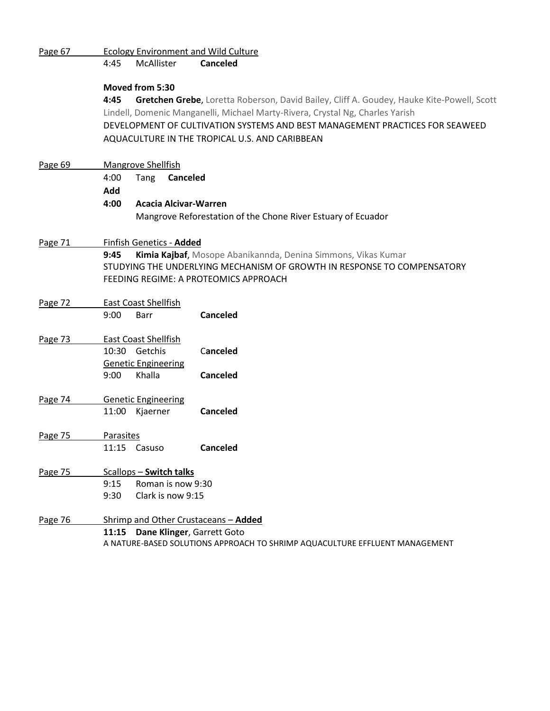| Page 67 |                |                                                                              | <b>Ecology Environment and Wild Culture</b>                                               |  |  |  |  |
|---------|----------------|------------------------------------------------------------------------------|-------------------------------------------------------------------------------------------|--|--|--|--|
|         | 4:45           | McAllister                                                                   | Canceled                                                                                  |  |  |  |  |
|         |                | Moved from 5:30                                                              |                                                                                           |  |  |  |  |
|         | 4:45           |                                                                              | Gretchen Grebe, Loretta Roberson, David Bailey, Cliff A. Goudey, Hauke Kite-Powell, Scott |  |  |  |  |
|         |                |                                                                              | Lindell, Domenic Manganelli, Michael Marty-Rivera, Crystal Ng, Charles Yarish             |  |  |  |  |
|         |                | DEVELOPMENT OF CULTIVATION SYSTEMS AND BEST MANAGEMENT PRACTICES FOR SEAWEED |                                                                                           |  |  |  |  |
|         |                |                                                                              | AQUACULTURE IN THE TROPICAL U.S. AND CARIBBEAN                                            |  |  |  |  |
| Page 69 |                | <b>Mangrove Shellfish</b>                                                    |                                                                                           |  |  |  |  |
|         | 4:00           | Tang                                                                         | Canceled                                                                                  |  |  |  |  |
|         | Add            |                                                                              |                                                                                           |  |  |  |  |
|         | 4:00           | <b>Acacia Alcivar-Warren</b>                                                 |                                                                                           |  |  |  |  |
|         |                |                                                                              | Mangrove Reforestation of the Chone River Estuary of Ecuador                              |  |  |  |  |
|         |                |                                                                              |                                                                                           |  |  |  |  |
| Page 71 |                | Finfish Genetics - Added                                                     |                                                                                           |  |  |  |  |
|         | 9:45           |                                                                              | Kimia Kajbaf, Mosope Abanikannda, Denina Simmons, Vikas Kumar                             |  |  |  |  |
|         |                |                                                                              | STUDYING THE UNDERLYING MECHANISM OF GROWTH IN RESPONSE TO COMPENSATORY                   |  |  |  |  |
|         |                |                                                                              | FEEDING REGIME: A PROTEOMICS APPROACH                                                     |  |  |  |  |
| Page 72 |                | East Coast Shellfish                                                         |                                                                                           |  |  |  |  |
|         | 9:00           | Barr                                                                         | <b>Canceled</b>                                                                           |  |  |  |  |
| Page 73 |                | <b>East Coast Shellfish</b>                                                  |                                                                                           |  |  |  |  |
|         | 10:30 Getchis  |                                                                              | Canceled                                                                                  |  |  |  |  |
|         |                | <b>Genetic Engineering</b>                                                   |                                                                                           |  |  |  |  |
|         | 9:00           | Khalla                                                                       | <b>Canceled</b>                                                                           |  |  |  |  |
| Page 74 |                | <b>Genetic Engineering</b>                                                   |                                                                                           |  |  |  |  |
|         | 11:00 Kjaerner |                                                                              | <b>Canceled</b>                                                                           |  |  |  |  |
| Page 75 | Parasites      |                                                                              |                                                                                           |  |  |  |  |
|         | 11:15 Casuso   |                                                                              | <b>Canceled</b>                                                                           |  |  |  |  |
| Page 75 |                | Scallops - Switch talks                                                      |                                                                                           |  |  |  |  |
|         | 9:15           | Roman is now 9:30                                                            |                                                                                           |  |  |  |  |
|         | 9:30           | Clark is now 9:15                                                            |                                                                                           |  |  |  |  |
| Page 76 |                | Shrimp and Other Crustaceans - Added                                         |                                                                                           |  |  |  |  |
|         |                | 11:15 Dane Klinger, Garrett Goto                                             |                                                                                           |  |  |  |  |
|         |                | A NATURE-BASED SOLUTIONS APPROACH TO SHRIMP AQUACULTURE EFFLUENT MANAGEMENT  |                                                                                           |  |  |  |  |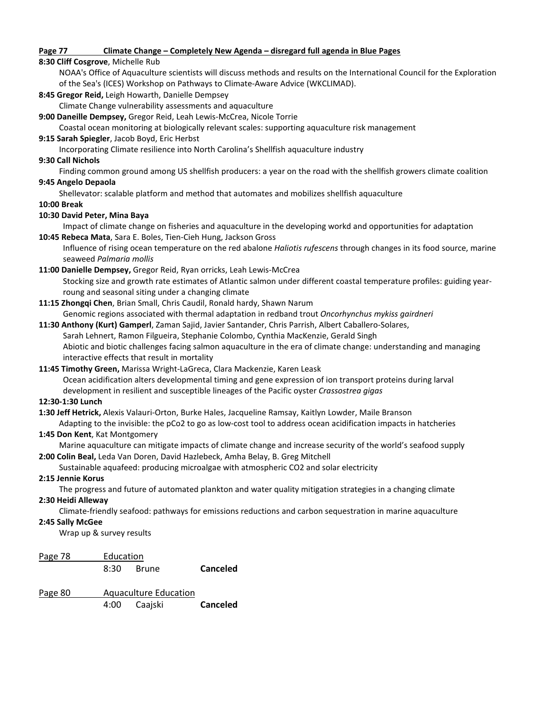#### **Page 77 Climate Change – Completely New Agenda – disregard full agenda in Blue Pages**

#### **8:30 Cliff Cosgrove**, Michelle Rub

NOAA's Office of Aquaculture scientists will discuss methods and results on the International Council for the Exploration of the Sea's (ICES) Workshop on Pathways to Climate-Aware Advice (WKCLIMAD).

**8:45 Gregor Reid,** Leigh Howarth, Danielle Dempsey

Climate Change vulnerability assessments and aquaculture

**9:00 Daneille Dempsey,** Gregor Reid, Leah Lewis-McCrea, Nicole Torrie

Coastal ocean monitoring at biologically relevant scales: supporting aquaculture risk management

**9:15 Sarah Spiegler**, Jacob Boyd, Eric Herbst

Incorporating Climate resilience into North Carolina's Shellfish aquaculture industry

#### **9:30 Call Nichols**

Finding common ground among US shellfish producers: a year on the road with the shellfish growers climate coalition

#### **9:45 Angelo Depaola**

Shellevator: scalable platform and method that automates and mobilizes shellfish aquaculture

#### **10:00 Break**

#### **10:30 David Peter, Mina Baya**

Impact of climate change on fisheries and aquaculture in the developing workd and opportunities for adaptation

**10:45 Rebeca Mata**, Sara E. Boles, Tien-Cieh Hung, Jackson Gross

Influence of rising ocean temperature on the red abalone *Haliotis rufescens* through changes in its food source, marine seaweed *Palmaria mollis*

**11:00 Danielle Dempsey,** Gregor Reid, Ryan orricks, Leah Lewis-McCrea

Stocking size and growth rate estimates of Atlantic salmon under different coastal temperature profiles: guiding yearroung and seasonal siting under a changing climate

**11:15 Zhongqi Chen**, Brian Small, Chris Caudil, Ronald hardy, Shawn Narum Genomic regions associated with thermal adaptation in redband trout *Oncorhynchus mykiss gairdneri*

# **11:30 Anthony (Kurt) Gamperl**, Zaman Sajid, Javier Santander, Chris Parrish, Albert Caballero-Solares, Sarah Lehnert, Ramon Filgueira, Stephanie Colombo, Cynthia MacKenzie, Gerald Singh Abiotic and biotic challenges facing salmon aquaculture in the era of climate change: understanding and managing

interactive effects that result in mortality

#### **11:45 Timothy Green,** Marissa Wright-LaGreca, Clara Mackenzie, Karen Leask

Ocean acidification alters developmental timing and gene expression of ion transport proteins during larval development in resilient and susceptible lineages of the Pacific oyster *Crassostrea gigas*

#### **12:30-1:30 Lunch**

**1:30 Jeff Hetrick,** Alexis Valauri-Orton, Burke Hales, Jacqueline Ramsay, Kaitlyn Lowder, Maile Branson Adapting to the invisible: the pCo2 to go as low-cost tool to address ocean acidification impacts in hatcheries

### **1:45 Don Kent**, Kat Montgomery

Marine aquaculture can mitigate impacts of climate change and increase security of the world's seafood supply **2:00 Colin Beal,** Leda Van Doren, David Hazlebeck, Amha Belay, B. Greg Mitchell

# Sustainable aquafeed: producing microalgae with atmospheric CO2 and solar electricity

#### **2:15 Jennie Korus**

The progress and future of automated plankton and water quality mitigation strategies in a changing climate

## **2:30 Heidi Alleway**

Climate-friendly seafood: pathways for emissions reductions and carbon sequestration in marine aquaculture

#### **2:45 Sally McGee**

Wrap up & survey results

| Page 78 | Education |       |                 |
|---------|-----------|-------|-----------------|
|         | 8:30      | Brune | <b>Canceled</b> |

Page 80 Aquaculture Education 4:00 Caajski **Canceled**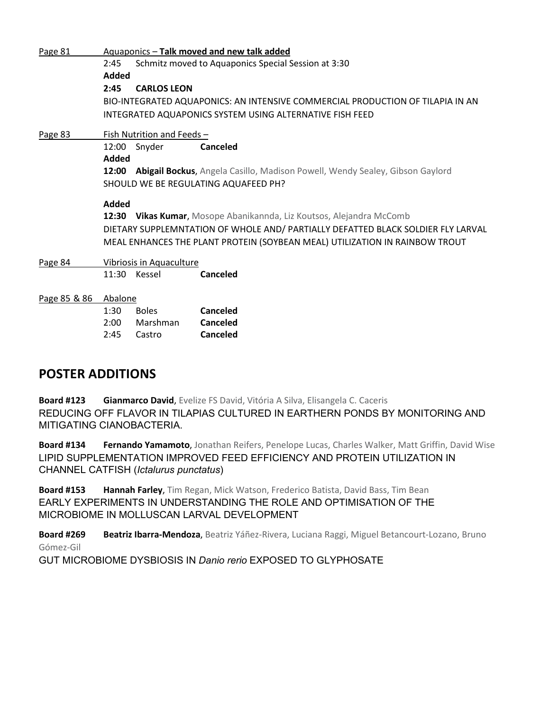| Page 81      | Aquaponics - Talk moved and new talk added                                       |                                                                                |                                                                              |  |  |  |  |
|--------------|----------------------------------------------------------------------------------|--------------------------------------------------------------------------------|------------------------------------------------------------------------------|--|--|--|--|
|              | 2:45                                                                             |                                                                                | Schmitz moved to Aquaponics Special Session at 3:30                          |  |  |  |  |
|              | Added                                                                            |                                                                                |                                                                              |  |  |  |  |
|              | 2:45                                                                             | <b>CARLOS LEON</b>                                                             |                                                                              |  |  |  |  |
|              |                                                                                  | BIO-INTEGRATED AQUAPONICS: AN INTENSIVE COMMERCIAL PRODUCTION OF TILAPIA IN AN |                                                                              |  |  |  |  |
|              | INTEGRATED AQUAPONICS SYSTEM USING ALTERNATIVE FISH FEED                         |                                                                                |                                                                              |  |  |  |  |
| Page 83      | Fish Nutrition and Feeds -                                                       |                                                                                |                                                                              |  |  |  |  |
|              | 12:00                                                                            | Snyder                                                                         | Canceled                                                                     |  |  |  |  |
|              | Added                                                                            |                                                                                |                                                                              |  |  |  |  |
|              | 12:00                                                                            |                                                                                | Abigail Bockus, Angela Casillo, Madison Powell, Wendy Sealey, Gibson Gaylord |  |  |  |  |
|              |                                                                                  | SHOULD WE BE REGULATING AQUAFEED PH?                                           |                                                                              |  |  |  |  |
|              | Added                                                                            |                                                                                |                                                                              |  |  |  |  |
|              | 12:30                                                                            |                                                                                | <b>Vikas Kumar,</b> Mosope Abanikannda, Liz Koutsos, Alejandra McComb        |  |  |  |  |
|              | DIETARY SUPPLEMNTATION OF WHOLE AND/ PARTIALLY DEFATTED BLACK SOLDIER FLY LARVAL |                                                                                |                                                                              |  |  |  |  |
|              | MEAL ENHANCES THE PLANT PROTEIN (SOYBEAN MEAL) UTILIZATION IN RAINBOW TROUT      |                                                                                |                                                                              |  |  |  |  |
| Page 84      | Vibriosis in Aquaculture                                                         |                                                                                |                                                                              |  |  |  |  |
|              |                                                                                  | 11:30 Kessel                                                                   | Canceled                                                                     |  |  |  |  |
| Page 85 & 86 | Abalone                                                                          |                                                                                |                                                                              |  |  |  |  |
|              | 1:30                                                                             | <b>Boles</b>                                                                   | Canceled                                                                     |  |  |  |  |
|              | 2:00                                                                             | Marshman                                                                       | Canceled                                                                     |  |  |  |  |
|              | 2:45                                                                             | Castro                                                                         | Canceled                                                                     |  |  |  |  |

# **POSTER ADDITIONS**

**Board #123 Gianmarco David**, Evelize FS David, Vitória A Silva, Elisangela C. Caceris REDUCING OFF FLAVOR IN TILAPIAS CULTURED IN EARTHERN PONDS BY MONITORING AND MITIGATING CIANOBACTERIA.

**Board #134 Fernando Yamamoto**, Jonathan Reifers, Penelope Lucas, Charles Walker, Matt Griffin, David Wise LIPID SUPPLEMENTATION IMPROVED FEED EFFICIENCY AND PROTEIN UTILIZATION IN CHANNEL CATFISH (*Ictalurus punctatus*)

**Board #153 Hannah Farley**, Tim Regan, Mick Watson, Frederico Batista, David Bass, Tim Bean EARLY EXPERIMENTS IN UNDERSTANDING THE ROLE AND OPTIMISATION OF THE MICROBIOME IN MOLLUSCAN LARVAL DEVELOPMENT

**Board #269 Beatriz Ibarra-Mendoza**, Beatriz Yáñez-Rivera, Luciana Raggi, Miguel Betancourt-Lozano, Bruno Gómez-Gil

GUT MICROBIOME DYSBIOSIS IN *Danio rerio* EXPOSED TO GLYPHOSATE